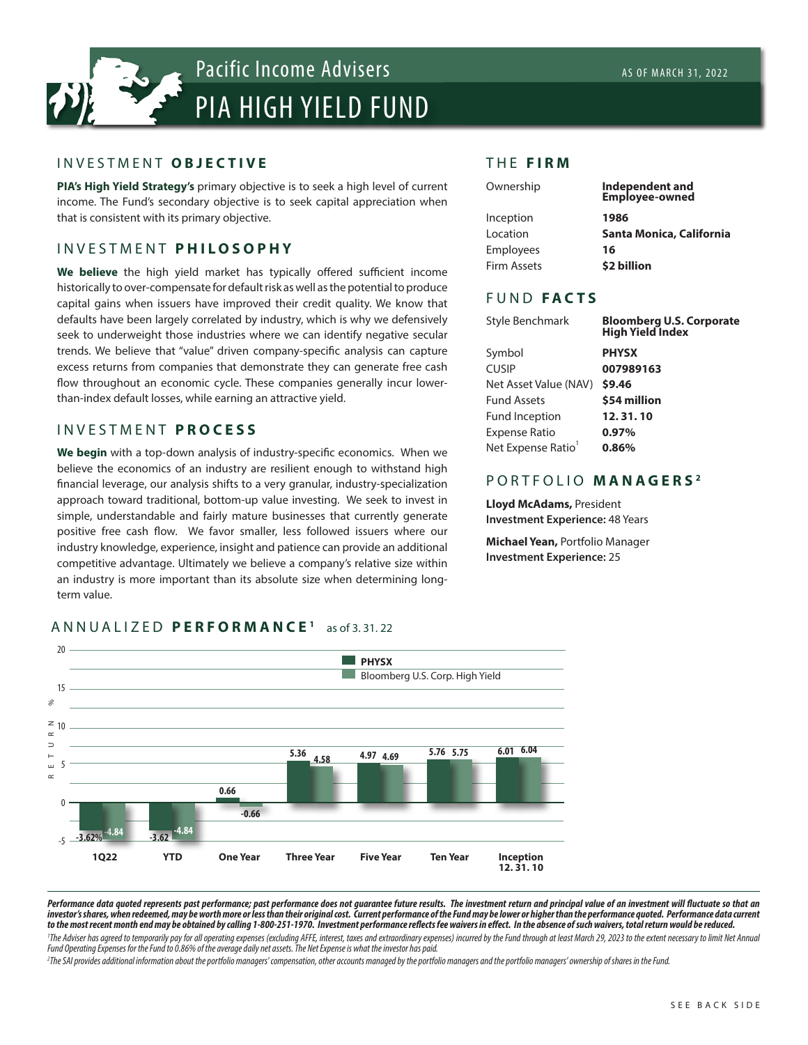

### INVESTMENT **OBJECTIVE**

**PIA's High Yield Strategy's** primary objective is to seek a high level of current income. The Fund's secondary objective is to seek capital appreciation when that is consistent with its primary objective.

# INVESTMENT **PHILOSOPHY**

**We believe** the high yield market has typically offered sufficient income historically to over-compensate for default risk as well as the potential to produce capital gains when issuers have improved their credit quality. We know that defaults have been largely correlated by industry, which is why we defensively seek to underweight those industries where we can identify negative secular trends. We believe that "value" driven company-specific analysis can capture excess returns from companies that demonstrate they can generate free cash flow throughout an economic cycle. These companies generally incur lowerthan-index default losses, while earning an attractive yield.

# INVESTMENT **PROCESS**

**We begin** with a top-down analysis of industry-specific economics. When we believe the economics of an industry are resilient enough to withstand high financial leverage, our analysis shifts to a very granular, industry-specialization approach toward traditional, bottom-up value investing. We seek to invest in simple, understandable and fairly mature businesses that currently generate positive free cash flow. We favor smaller, less followed issuers where our industry knowledge, experience, insight and patience can provide an additional competitive advantage. Ultimately we believe a company's relative size within an industry is more important than its absolute size when determining longterm value.

### ANNUALIZED **PERFORMANCE 1** as of 3. 31. 22



# Inception **1986**

THE **FIRM**

Location **Santa Monica, California** Employees **16** Firm Assets **\$2 billion**

**Employee-owned**

# FUND **FACTS**

| Style Benchmark                | <b>Bloomberg U.S. Corporate</b><br><b>High Yield Index</b> |
|--------------------------------|------------------------------------------------------------|
| Symbol                         | <b>PHYSX</b>                                               |
| <b>CUSIP</b>                   | 007989163                                                  |
| Net Asset Value (NAV)          | \$9.46                                                     |
| <b>Fund Assets</b>             | \$54 million                                               |
| <b>Fund Inception</b>          | 12.31.10                                                   |
| <b>Expense Ratio</b>           | 0.97%                                                      |
| Net Expense Ratio <sup>1</sup> | 0.86%                                                      |
|                                |                                                            |

Ownership **Independent and**

# PORTFOLIO **MANAGERS <sup>2</sup>**

**Lloyd McAdams,** President **Investment Experience:** 48 Years

**Michael Yean,** Portfolio Manager **Investment Experience:** 25

Performance data quoted represents past performance; past performance does not guarantee future results. The investment return and principal value of an investment will fluctuate so that an *investor's shares, when redeemed, may be worth more or less than their original cost. Current performance of the Fund may be lower or higher than the performance quoted. Performance data current to the most recent month end may be obtained by calling 1-800-251-1970. Investment performance reflects fee waivers in effect. In the absence of such waivers, total return would be reduced.* 

The Adviser has agreed to temporarily pay for all operating expenses (excluding AFFE, interest, taxes and extraordinary expenses) incurred by the Fund through at least March 29, 2023 to the extent necessary to limit Net An *Fund Operating Expenses for the Fund to 0.86% of the average daily net assets. The Net Expense is what the investor has paid.* 

<sup>2</sup>The SAI provides additional information about the portfolio managers' compensation, other accounts managed by the portfolio managers and the portfolio managers' ownership of shares in the Fund.